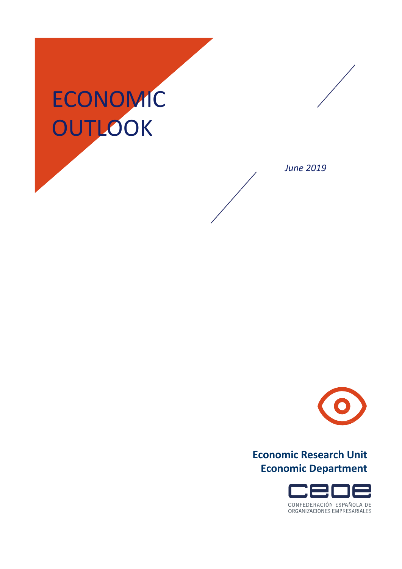## ECONOMIC **OUTLOOK**





## **Economic Research Unit Economic Department**

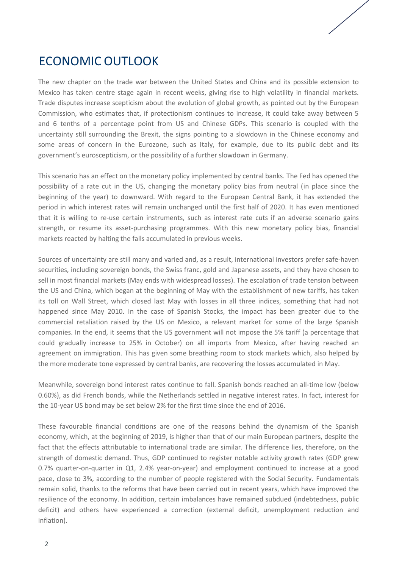## ECONOMIC OUTLOOK

The new chapter on the trade war between the United States and China and its possible extension to Mexico has taken centre stage again in recent weeks, giving rise to high volatility in financial markets. Trade disputes increase scepticism about the evolution of global growth, as pointed out by the European Commission, who estimates that, if protectionism continues to increase, it could take away between 5 and 6 tenths of a percentage point from US and Chinese GDPs. This scenario is coupled with the uncertainty still surrounding the Brexit, the signs pointing to a slowdown in the Chinese economy and some areas of concern in the Eurozone, such as Italy, for example, due to its public debt and its government's euroscepticism, or the possibility of a further slowdown in Germany.

This scenario has an effect on the monetary policy implemented by central banks. The Fed has opened the possibility of a rate cut in the US, changing the monetary policy bias from neutral (in place since the beginning of the year) to downward. With regard to the European Central Bank, it has extended the period in which interest rates will remain unchanged until the first half of 2020. It has even mentioned that it is willing to re-use certain instruments, such as interest rate cuts if an adverse scenario gains strength, or resume its asset-purchasing programmes. With this new monetary policy bias, financial markets reacted by halting the falls accumulated in previous weeks.

Sources of uncertainty are still many and varied and, as a result, international investors prefer safe-haven securities, including sovereign bonds, the Swiss franc, gold and Japanese assets, and they have chosen to sell in most financial markets (May ends with widespread losses). The escalation of trade tension between the US and China, which began at the beginning of May with the establishment of new tariffs, has taken its toll on Wall Street, which closed last May with losses in all three indices, something that had not happened since May 2010. In the case of Spanish Stocks, the impact has been greater due to the commercial retaliation raised by the US on Mexico, a relevant market for some of the large Spanish companies. In the end, it seems that the US government will not impose the 5% tariff (a percentage that could gradually increase to 25% in October) on all imports from Mexico, after having reached an agreement on immigration. This has given some breathing room to stock markets which, also helped by the more moderate tone expressed by central banks, are recovering the losses accumulated in May.

Meanwhile, sovereign bond interest rates continue to fall. Spanish bonds reached an all-time low (below 0.60%), as did French bonds, while the Netherlands settled in negative interest rates. In fact, interest for the 10-year US bond may be set below 2% for the first time since the end of 2016.

These favourable financial conditions are one of the reasons behind the dynamism of the Spanish economy, which, at the beginning of 2019, is higher than that of our main European partners, despite the fact that the effects attributable to international trade are similar. The difference lies, therefore, on the strength of domestic demand. Thus, GDP continued to register notable activity growth rates (GDP grew 0.7% quarter-on-quarter in Q1, 2.4% year-on-year) and employment continued to increase at a good pace, close to 3%, according to the number of people registered with the Social Security. Fundamentals remain solid, thanks to the reforms that have been carried out in recent years, which have improved the resilience of the economy. In addition, certain imbalances have remained subdued (indebtedness, public deficit) and others have experienced a correction (external deficit, unemployment reduction and inflation).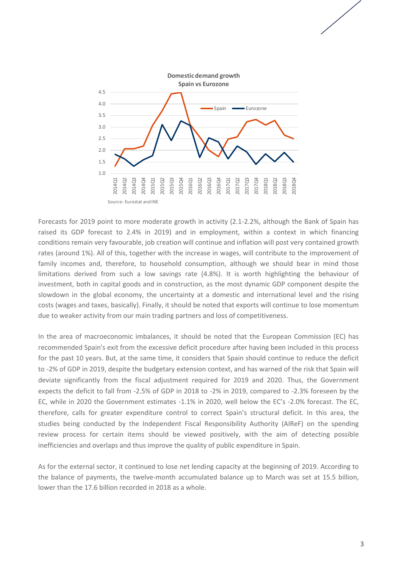

Forecasts for 2019 point to more moderate growth in activity (2.1-2.2%, although the Bank of Spain has raised its GDP forecast to 2.4% in 2019) and in employment, within a context in which financing conditions remain very favourable, job creation will continue and inflation will post very contained growth rates (around 1%). All of this, together with the increase in wages, will contribute to the improvement of family incomes and, therefore, to household consumption, although we should bear in mind those limitations derived from such a low savings rate (4.8%). It is worth highlighting the behaviour of investment, both in capital goods and in construction, as the most dynamic GDP component despite the slowdown in the global economy, the uncertainty at a domestic and international level and the rising costs (wages and taxes, basically). Finally, it should be noted that exports will continue to lose momentum due to weaker activity from our main trading partners and loss of competitiveness.

In the area of macroeconomic imbalances, it should be noted that the European Commission (EC) has recommended Spain's exit from the excessive deficit procedure after having been included in this process for the past 10 years. But, at the same time, it considers that Spain should continue to reduce the deficit to -2% of GDP in 2019, despite the budgetary extension context, and has warned of the risk that Spain will deviate significantly from the fiscal adjustment required for 2019 and 2020. Thus, the Government expects the deficit to fall from -2.5% of GDP in 2018 to -2% in 2019, compared to -2.3% foreseen by the EC, while in 2020 the Government estimates -1.1% in 2020, well below the EC's -2.0% forecast. The EC, therefore, calls for greater expenditure control to correct Spain's structural deficit. In this area, the studies being conducted by the Independent Fiscal Responsibility Authority (AIReF) on the spending review process for certain items should be viewed positively, with the aim of detecting possible inefficiencies and overlaps and thus improve the quality of public expenditure in Spain.

As for the external sector, it continued to lose net lending capacity at the beginning of 2019. According to the balance of payments, the twelve-month accumulated balance up to March was set at 15.5 billion, lower than the 17.6 billion recorded in 2018 as a whole.